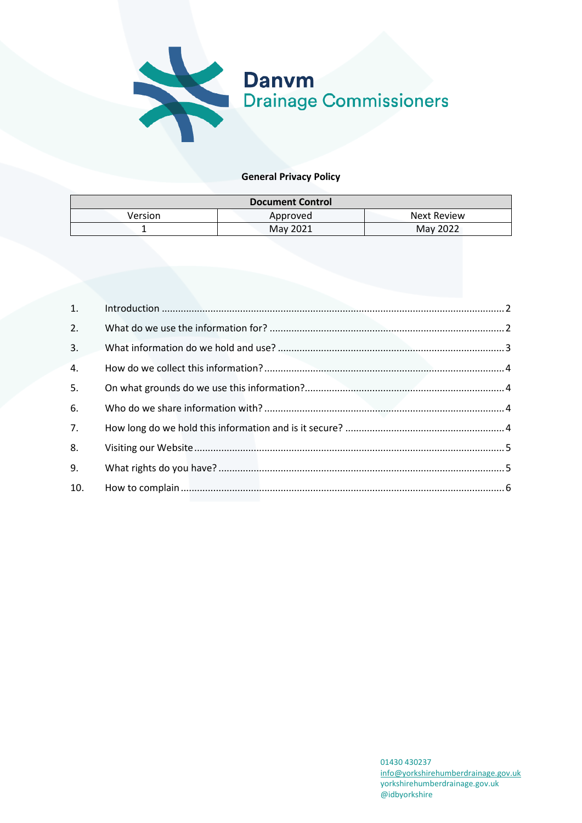

### **General Privacy Policy**

| <b>Document Control</b> |          |             |  |
|-------------------------|----------|-------------|--|
| Version                 | Approved | Next Review |  |
|                         | May 2021 | May 2022    |  |

| 1.  |  |
|-----|--|
| 2.  |  |
| 3.  |  |
| 4.  |  |
| 5.  |  |
| 6.  |  |
| 7.  |  |
| 8.  |  |
| 9.  |  |
| 10. |  |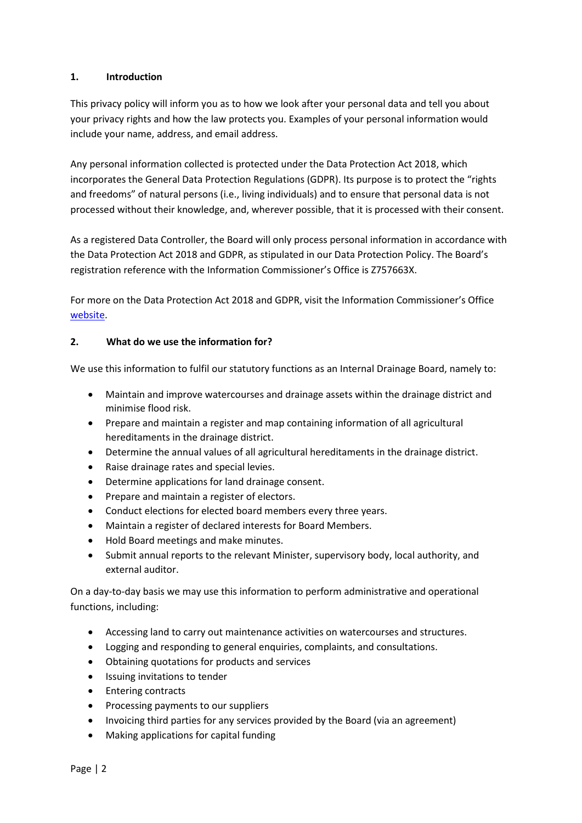### <span id="page-1-0"></span>**1. Introduction**

This privacy policy will inform you as to how we look after your personal data and tell you about your privacy rights and how the law protects you. Examples of your personal information would include your name, address, and email address.

Any personal information collected is protected under the Data Protection Act 2018, which incorporates the General Data Protection Regulations (GDPR). Its purpose is to protect the "rights and freedoms" of natural persons (i.e., living individuals) and to ensure that personal data is not processed without their knowledge, and, wherever possible, that it is processed with their consent.

As a registered Data Controller, the Board will only process personal information in accordance with the Data Protection Act 2018 and GDPR, as stipulated in our Data Protection Policy. The Board's registration reference with the Information Commissioner's Office is Z757663X.

For more on the Data Protection Act 2018 and GDPR, visit the Information Commissioner's Office [website.](https://ico.org.uk/)

### <span id="page-1-1"></span>**2. What do we use the information for?**

We use this information to fulfil our statutory functions as an Internal Drainage Board, namely to:

- Maintain and improve watercourses and drainage assets within the drainage district and minimise flood risk.
- Prepare and maintain a register and map containing information of all agricultural hereditaments in the drainage district.
- Determine the annual values of all agricultural hereditaments in the drainage district.
- Raise drainage rates and special levies.
- Determine applications for land drainage consent.
- Prepare and maintain a register of electors.
- Conduct elections for elected board members every three years.
- Maintain a register of declared interests for Board Members.
- Hold Board meetings and make minutes.
- Submit annual reports to the relevant Minister, supervisory body, local authority, and external auditor.

On a day-to-day basis we may use this information to perform administrative and operational functions, including:

- Accessing land to carry out maintenance activities on watercourses and structures.
- Logging and responding to general enquiries, complaints, and consultations.
- Obtaining quotations for products and services
- Issuing invitations to tender
- Entering contracts
- Processing payments to our suppliers
- Invoicing third parties for any services provided by the Board (via an agreement)
- Making applications for capital funding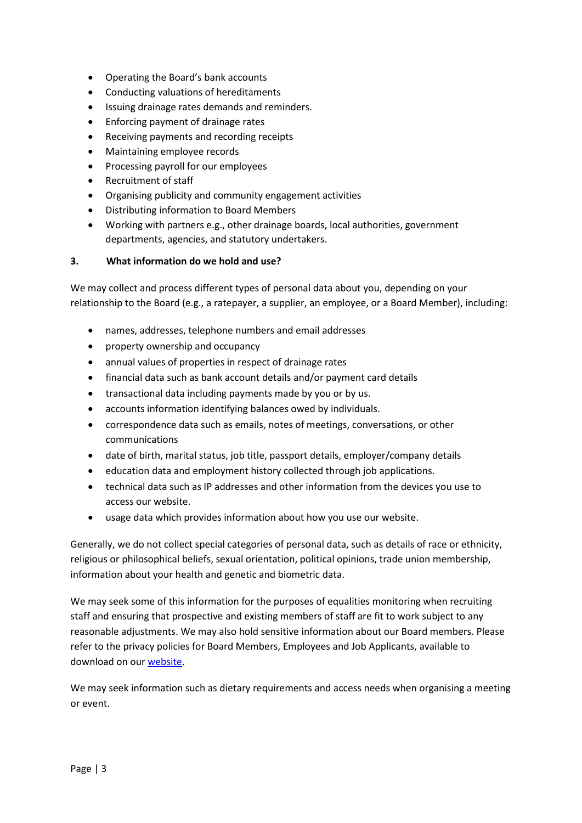- Operating the Board's bank accounts
- Conducting valuations of hereditaments
- Issuing drainage rates demands and reminders.
- Enforcing payment of drainage rates
- Receiving payments and recording receipts
- Maintaining employee records
- Processing payroll for our employees
- Recruitment of staff
- Organising publicity and community engagement activities
- Distributing information to Board Members
- Working with partners e.g., other drainage boards, local authorities, government departments, agencies, and statutory undertakers.

#### <span id="page-2-0"></span>**3. What information do we hold and use?**

We may collect and process different types of personal data about you, depending on your relationship to the Board (e.g., a ratepayer, a supplier, an employee, or a Board Member), including:

- names, addresses, telephone numbers and email addresses
- property ownership and occupancy
- annual values of properties in respect of drainage rates
- financial data such as bank account details and/or payment card details
- transactional data including payments made by you or by us.
- accounts information identifying balances owed by individuals.
- correspondence data such as emails, notes of meetings, conversations, or other communications
- date of birth, marital status, job title, passport details, employer/company details
- education data and employment history collected through job applications.
- technical data such as IP addresses and other information from the devices you use to access our website.
- usage data which provides information about how you use our website.

Generally, we do not collect special categories of personal data, such as details of race or ethnicity, religious or philosophical beliefs, sexual orientation, political opinions, trade union membership, information about your health and genetic and biometric data.

We may seek some of this information for the purposes of equalities monitoring when recruiting staff and ensuring that prospective and existing members of staff are fit to work subject to any reasonable adjustments. We may also hold sensitive information about our Board members. Please refer to the privacy policies for Board Members, Employees and Job Applicants, available to download on our [website.](https://www.yorkshirehumberdrainage.gov.uk/)

We may seek information such as dietary requirements and access needs when organising a meeting or event.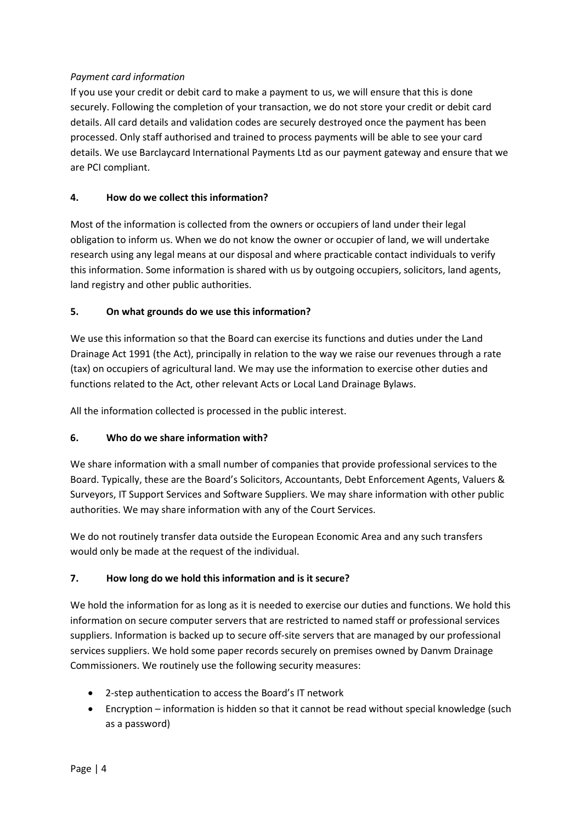# *Payment card information*

If you use your credit or debit card to make a payment to us, we will ensure that this is done securely. Following the completion of your transaction, we do not store your credit or debit card details. All card details and validation codes are securely destroyed once the payment has been processed. Only staff authorised and trained to process payments will be able to see your card details. We use Barclaycard International Payments Ltd as our payment gateway and ensure that we are PCI compliant.

# <span id="page-3-0"></span>**4. How do we collect this information?**

Most of the information is collected from the owners or occupiers of land under their legal obligation to inform us. When we do not know the owner or occupier of land, we will undertake research using any legal means at our disposal and where practicable contact individuals to verify this information. Some information is shared with us by outgoing occupiers, solicitors, land agents, land registry and other public authorities.

# <span id="page-3-1"></span>**5. On what grounds do we use this information?**

We use this information so that the Board can exercise its functions and duties under the Land Drainage Act 1991 (the Act), principally in relation to the way we raise our revenues through a rate (tax) on occupiers of agricultural land. We may use the information to exercise other duties and functions related to the Act, other relevant Acts or Local Land Drainage Bylaws.

All the information collected is processed in the public interest.

# <span id="page-3-2"></span>**6. Who do we share information with?**

We share information with a small number of companies that provide professional services to the Board. Typically, these are the Board's Solicitors, Accountants, Debt Enforcement Agents, Valuers & Surveyors, IT Support Services and Software Suppliers. We may share information with other public authorities. We may share information with any of the Court Services.

We do not routinely transfer data outside the European Economic Area and any such transfers would only be made at the request of the individual.

### <span id="page-3-3"></span>**7. How long do we hold this information and is it secure?**

We hold the information for as long as it is needed to exercise our duties and functions. We hold this information on secure computer servers that are restricted to named staff or professional services suppliers. Information is backed up to secure off-site servers that are managed by our professional services suppliers. We hold some paper records securely on premises owned by Danvm Drainage Commissioners. We routinely use the following security measures:

- 2-step authentication to access the Board's IT network
- Encryption information is hidden so that it cannot be read without special knowledge (such as a password)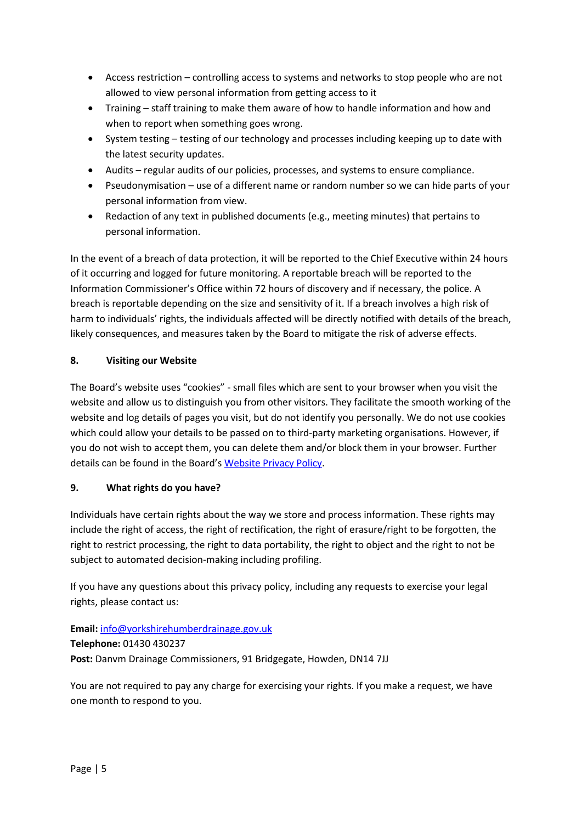- Access restriction controlling access to systems and networks to stop people who are not allowed to view personal information from getting access to it
- Training staff training to make them aware of how to handle information and how and when to report when something goes wrong.
- System testing testing of our technology and processes including keeping up to date with the latest security updates.
- Audits regular audits of our policies, processes, and systems to ensure compliance.
- Pseudonymisation use of a different name or random number so we can hide parts of your personal information from view.
- Redaction of any text in published documents (e.g., meeting minutes) that pertains to personal information.

In the event of a breach of data protection, it will be reported to the Chief Executive within 24 hours of it occurring and logged for future monitoring. A reportable breach will be reported to the Information Commissioner's Office within 72 hours of discovery and if necessary, the police. A breach is reportable depending on the size and sensitivity of it. If a breach involves a high risk of harm to individuals' rights, the individuals affected will be directly notified with details of the breach, likely consequences, and measures taken by the Board to mitigate the risk of adverse effects.

# <span id="page-4-0"></span>**8. Visiting our Website**

The Board's website uses "cookies" - small files which are sent to your browser when you visit the website and allow us to distinguish you from other visitors. They facilitate the smooth working of the website and log details of pages you visit, but do not identify you personally. We do not use cookies which could allow your details to be passed on to third-party marketing organisations. However, if you do not wish to accept them, you can delete them and/or block them in your browser. Further details can be found in the Board'[s Website Privacy Policy.](http://www.yorkshirehumberdrainage.gov.uk/)

# <span id="page-4-1"></span>**9. What rights do you have?**

Individuals have certain rights about the way we store and process information. These rights may include the right of access, the right of rectification, the right of erasure/right to be forgotten, the right to restrict processing, the right to data portability, the right to object and the right to not be subject to automated decision-making including profiling.

If you have any questions about this privacy policy, including any requests to exercise your legal rights, please contact us:

# **Email:** [info@yorkshirehumberdrainage.gov.uk](mailto:info@yorkshirehumberdrainage.gov.uk)

**Telephone:** 01430 430237 **Post:** Danvm Drainage Commissioners, 91 Bridgegate, Howden, DN14 7JJ

You are not required to pay any charge for exercising your rights. If you make a request, we have one month to respond to you.